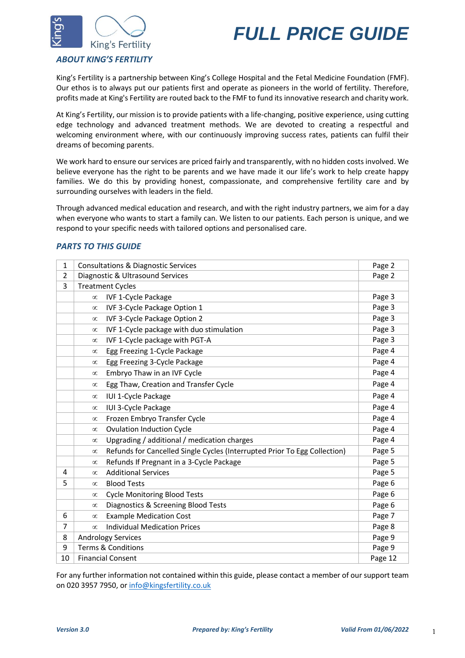



## *ABOUT KING'S FERTILITY*

King's Fertility is a partnership between King's College Hospital and the Fetal Medicine Foundation (FMF). Our ethos is to always put our patients first and operate as pioneers in the world of fertility. Therefore, profits made at King's Fertility are routed back to the FMF to fund its innovative research and charity work.

At King's Fertility, our mission is to provide patients with a life-changing, positive experience, using cutting edge technology and advanced treatment methods. We are devoted to creating a respectful and welcoming environment where, with our continuously improving success rates, patients can fulfil their dreams of becoming parents.

We work hard to ensure our services are priced fairly and transparently, with no hidden costs involved. We believe everyone has the right to be parents and we have made it our life's work to help create happy families. We do this by providing honest, compassionate, and comprehensive fertility care and by surrounding ourselves with leaders in the field.

Through advanced medical education and research, and with the right industry partners, we aim for a day when everyone who wants to start a family can. We listen to our patients. Each person is unique, and we respond to your specific needs with tailored options and personalised care.

## *PARTS TO THIS GUIDE*

| 1  | <b>Consultations &amp; Diagnostic Services</b>    |                                                                           |        |  |
|----|---------------------------------------------------|---------------------------------------------------------------------------|--------|--|
| 2  | Diagnostic & Ultrasound Services                  |                                                                           |        |  |
| 3  | <b>Treatment Cycles</b>                           |                                                                           |        |  |
|    | $\infty$                                          | <b>IVF 1-Cycle Package</b>                                                | Page 3 |  |
|    | $\infty$                                          | IVF 3-Cycle Package Option 1                                              | Page 3 |  |
|    | $\infty$                                          | IVF 3-Cycle Package Option 2                                              | Page 3 |  |
|    | $\infty$                                          | IVF 1-Cycle package with duo stimulation                                  | Page 3 |  |
|    | $\infty$                                          | IVF 1-Cycle package with PGT-A                                            | Page 3 |  |
|    | $\infty$                                          | Egg Freezing 1-Cycle Package                                              | Page 4 |  |
|    | $\infty$                                          | Egg Freezing 3-Cycle Package                                              | Page 4 |  |
|    | $\infty$                                          | Embryo Thaw in an IVF Cycle                                               | Page 4 |  |
|    | $\infty$                                          | Egg Thaw, Creation and Transfer Cycle                                     | Page 4 |  |
|    | $\infty$                                          | IUI 1-Cycle Package                                                       | Page 4 |  |
|    | $\infty$                                          | IUI 3-Cycle Package                                                       | Page 4 |  |
|    | $\infty$                                          | Frozen Embryo Transfer Cycle                                              | Page 4 |  |
|    | $\infty$                                          | <b>Ovulation Induction Cycle</b>                                          | Page 4 |  |
|    | $\infty$                                          | Upgrading / additional / medication charges                               | Page 4 |  |
|    | $\infty$                                          | Refunds for Cancelled Single Cycles (Interrupted Prior To Egg Collection) | Page 5 |  |
|    | $\infty$                                          | Refunds If Pregnant in a 3-Cycle Package                                  | Page 5 |  |
| 4  | $\infty$                                          | <b>Additional Services</b>                                                | Page 5 |  |
| 5  | $\infty$                                          | <b>Blood Tests</b>                                                        | Page 6 |  |
|    | $\infty$                                          | <b>Cycle Monitoring Blood Tests</b>                                       | Page 6 |  |
|    | $\infty$                                          | Diagnostics & Screening Blood Tests                                       | Page 6 |  |
| 6  | $\infty$                                          | <b>Example Medication Cost</b>                                            | Page 7 |  |
| 7  | $\infty$                                          | <b>Individual Medication Prices</b>                                       | Page 8 |  |
| 8  | <b>Andrology Services</b>                         |                                                                           |        |  |
| 9  | Page 9<br><b>Terms &amp; Conditions</b><br>Page 9 |                                                                           |        |  |
| 10 | Page 12<br><b>Financial Consent</b>               |                                                                           |        |  |

For any further information not contained within this guide, please contact a member of our support team on 020 3957 7950, or [info@kingsfertility.co.uk](mailto:info@kingsfertility.co.uk)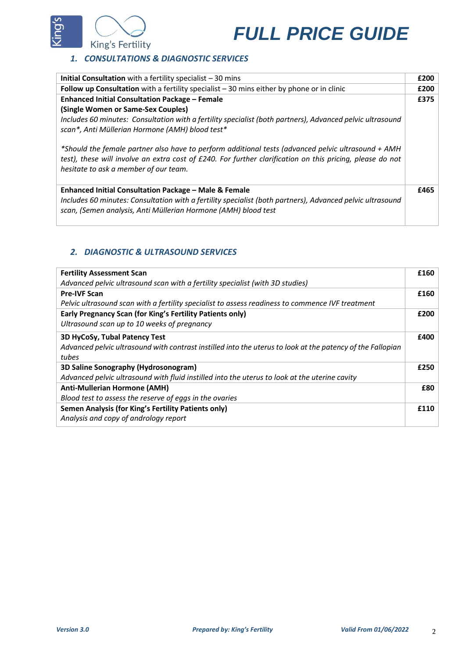

## *1. CONSULTATIONS & DIAGNOSTIC SERVICES*

| <b>Initial Consultation</b> with a fertility specialist $-30$ mins                                                                                                                                                                                       | £200 |
|----------------------------------------------------------------------------------------------------------------------------------------------------------------------------------------------------------------------------------------------------------|------|
| Follow up Consultation with a fertility specialist $-30$ mins either by phone or in clinic                                                                                                                                                               | £200 |
| <b>Enhanced Initial Consultation Package - Female</b>                                                                                                                                                                                                    | £375 |
| (Single Women or Same-Sex Couples)                                                                                                                                                                                                                       |      |
| Includes 60 minutes: Consultation with a fertility specialist (both partners), Advanced pelvic ultrasound<br>scan*, Anti Müllerian Hormone (AMH) blood test*                                                                                             |      |
| *Should the female partner also have to perform additional tests (advanced pelvic ultrasound + AMH<br>test), these will involve an extra cost of £240. For further clarification on this pricing, please do not<br>hesitate to ask a member of our team. |      |
| Enhanced Initial Consultation Package - Male & Female<br>Includes 60 minutes: Consultation with a fertility specialist (both partners), Advanced pelvic ultrasound<br>scan, (Semen analysis, Anti Müllerian Hormone (AMH) blood test                     | £465 |

## *2. DIAGNOSTIC & ULTRASOUND SERVICES*

| <b>Fertility Assessment Scan</b>                                                                           | £160 |
|------------------------------------------------------------------------------------------------------------|------|
| Advanced pelvic ultrasound scan with a fertility specialist (with 3D studies)                              |      |
| <b>Pre-IVF Scan</b>                                                                                        | £160 |
| Pelvic ultrasound scan with a fertility specialist to assess readiness to commence IVF treatment           |      |
| Early Pregnancy Scan (for King's Fertility Patients only)                                                  | £200 |
| Ultrasound scan up to 10 weeks of pregnancy                                                                |      |
| 3D HyCoSy, Tubal Patency Test                                                                              | £400 |
| Advanced pelvic ultrasound with contrast instilled into the uterus to look at the patency of the Fallopian |      |
| tubes                                                                                                      |      |
| 3D Saline Sonography (Hydrosonogram)                                                                       | £250 |
| Advanced pelvic ultrasound with fluid instilled into the uterus to look at the uterine cavity              |      |
| <b>Anti-Mullerian Hormone (AMH)</b>                                                                        | £80  |
| Blood test to assess the reserve of eggs in the ovaries                                                    |      |
| Semen Analysis (for King's Fertility Patients only)                                                        | £110 |
| Analysis and copy of andrology report                                                                      |      |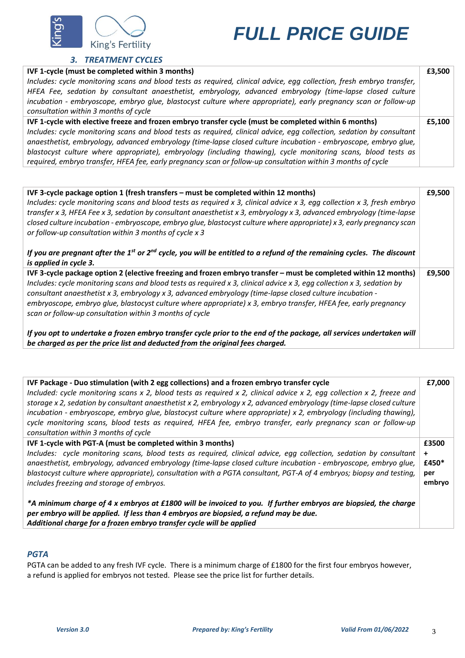

## *3. TREATMENT CYCLES*

| IVF 1-cycle (must be completed within 3 months)                                                                       | £3,500 |  |
|-----------------------------------------------------------------------------------------------------------------------|--------|--|
| Includes: cycle monitoring scans and blood tests as required, clinical advice, egg collection, fresh embryo transfer, |        |  |
| HFEA Fee, sedation by consultant anaesthetist, embryology, advanced embryology (time-lapse closed culture             |        |  |
| incubation - embryoscope, embryo glue, blastocyst culture where appropriate), early pregnancy scan or follow-up       |        |  |
| consultation within 3 months of cycle                                                                                 |        |  |
| IVF 1-cycle with elective freeze and frozen embryo transfer cycle (must be completed within 6 months)                 | £5,100 |  |
| Includes: cycle monitoring scans and blood tests as required, clinical advice, egg collection, sedation by consultant |        |  |
| anaesthetist, embryology, advanced embryology (time-lapse closed culture incubation - embryoscope, embryo qlue,       |        |  |
| blastocyst culture where appropriate), embryology (including thawing), cycle monitoring scans, blood tests as         |        |  |
| required, embryo transfer, HFEA fee, early pregnancy scan or follow-up consultation within 3 months of cycle          |        |  |

| IVF 3-cycle package option 1 (fresh transfers - must be completed within 12 months)<br>Includes: cycle monitoring scans and blood tests as required x 3, clinical advice x 3, egg collection x 3, fresh embryo<br>transfer x 3, HFEA Fee x 3, sedation by consultant anaesthetist x 3, embryology x 3, advanced embryology (time-lapse<br>closed culture incubation - embryoscope, embryo glue, blastocyst culture where appropriate) x 3, early pregnancy scan<br>or follow-up consultation within 3 months of cycle x 3            | £9.500 |
|--------------------------------------------------------------------------------------------------------------------------------------------------------------------------------------------------------------------------------------------------------------------------------------------------------------------------------------------------------------------------------------------------------------------------------------------------------------------------------------------------------------------------------------|--------|
| If you are pregnant after the 1 <sup>st</sup> or 2 <sup>nd</sup> cycle, you will be entitled to a refund of the remaining cycles. The discount<br>is applied in cycle 3.                                                                                                                                                                                                                                                                                                                                                             |        |
| IVF 3-cycle package option 2 (elective freezing and frozen embryo transfer - must be completed within 12 months)<br>Includes: cycle monitoring scans and blood tests as required x 3, clinical advice x 3, egg collection x 3, sedation by<br>consultant anaesthetist x 3, embryology x 3, advanced embryology (time-lapse closed culture incubation -<br>embryoscope, embryo glue, blastocyst culture where appropriate) x 3, embryo transfer, HFEA fee, early pregnancy<br>scan or follow-up consultation within 3 months of cycle |        |
| If you opt to undertake a frozen embryo transfer cycle prior to the end of the package, all services undertaken will<br>be charged as per the price list and deducted from the original fees charged.                                                                                                                                                                                                                                                                                                                                |        |

| IVF Package - Duo stimulation (with 2 egg collections) and a frozen embryo transfer cycle<br>Included: cycle monitoring scans x 2, blood tests as required x 2, clinical advice x 2, egg collection x 2, freeze and<br>storage x 2, sedation by consultant anaesthetist x 2, embryology x 2, advanced embryology (time-lapse closed culture<br>incubation - embryoscope, embryo glue, blastocyst culture where appropriate) x 2, embryology (including thawing),<br>cycle monitoring scans, blood tests as required, HFEA fee, embryo transfer, early pregnancy scan or follow-up<br>consultation within 3 months of cycle | £7,000    |  |
|----------------------------------------------------------------------------------------------------------------------------------------------------------------------------------------------------------------------------------------------------------------------------------------------------------------------------------------------------------------------------------------------------------------------------------------------------------------------------------------------------------------------------------------------------------------------------------------------------------------------------|-----------|--|
| IVF 1-cycle with PGT-A (must be completed within 3 months)                                                                                                                                                                                                                                                                                                                                                                                                                                                                                                                                                                 | £3500     |  |
| Includes: cycle monitoring scans, blood tests as required, clinical advice, egg collection, sedation by consultant                                                                                                                                                                                                                                                                                                                                                                                                                                                                                                         | $\ddot{}$ |  |
| anaesthetist, embryology, advanced embryology (time-lapse closed culture incubation - embryoscope, embryo glue,                                                                                                                                                                                                                                                                                                                                                                                                                                                                                                            | £450*     |  |
| blastocyst culture where appropriate), consultation with a PGTA consultant, PGT-A of 4 embryos; biopsy and testing,                                                                                                                                                                                                                                                                                                                                                                                                                                                                                                        | per       |  |
| includes freezing and storage of embryos.                                                                                                                                                                                                                                                                                                                                                                                                                                                                                                                                                                                  | embryo    |  |
| *A minimum charge of 4 x embryos at £1800 will be invoiced to you. If further embryos are biopsied, the charge<br>per embryo will be applied. If less than 4 embryos are biopsied, a refund may be due.<br>Additional charge for a frozen embryo transfer cycle will be applied                                                                                                                                                                                                                                                                                                                                            |           |  |

## *PGTA*

PGTA can be added to any fresh IVF cycle. There is a minimum charge of £1800 for the first four embryos however, a refund is applied for embryos not tested. Please see the price list for further details.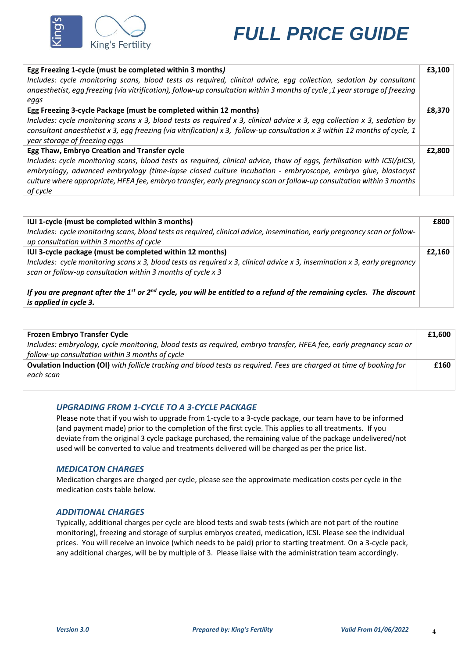

| Egg Freezing 1-cycle (must be completed within 3 months)<br>Includes: cycle monitoring scans, blood tests as required, clinical advice, egg collection, sedation by consultant<br>anaesthetist, egg freezing (via vitrification), follow-up consultation within 3 months of cycle, 1 year storage of freezing<br>eggs                                                                                                        | £3.100 |
|------------------------------------------------------------------------------------------------------------------------------------------------------------------------------------------------------------------------------------------------------------------------------------------------------------------------------------------------------------------------------------------------------------------------------|--------|
| Egg Freezing 3-cycle Package (must be completed within 12 months)<br>Includes: cycle monitoring scans x 3, blood tests as required x 3, clinical advice x 3, egg collection x 3, sedation by<br>consultant anaesthetist x 3, egg freezing (via vitrification) x 3, follow-up consultation x 3 within 12 months of cycle, 1<br>year storage of freezing eggs                                                                  | £8.370 |
| Egg Thaw, Embryo Creation and Transfer cycle<br>Includes: cycle monitoring scans, blood tests as required, clinical advice, thaw of eggs, fertilisation with ICSI/pICSI,<br>embryology, advanced embryology (time-lapse closed culture incubation - embryoscope, embryo glue, blastocyst<br>culture where appropriate, HFEA fee, embryo transfer, early pregnancy scan or follow-up consultation within 3 months<br>of cycle | £2,800 |

| IUI 1-cycle (must be completed within 3 months)<br>Includes: cycle monitoring scans, blood tests as required, clinical advice, insemination, early pregnancy scan or follow-<br>up consultation within 3 months of cycle                             | £800 |  |
|------------------------------------------------------------------------------------------------------------------------------------------------------------------------------------------------------------------------------------------------------|------|--|
| IUI 3-cycle package (must be completed within 12 months)<br>Includes: cycle monitoring scans x 3, blood tests as required x 3, clinical advice x 3, insemination x 3, early pregnancy<br>scan or follow-up consultation within 3 months of cycle x 3 |      |  |
| If you are pregnant after the 1 <sup>st</sup> or 2 <sup>nd</sup> cycle, you will be entitled to a refund of the remaining cycles. The discount<br>is applied in cycle 3.                                                                             |      |  |

| <b>Frozen Embryo Transfer Cycle</b>                                                                                         | £1,600 |
|-----------------------------------------------------------------------------------------------------------------------------|--------|
| Includes: embryology, cycle monitoring, blood tests as required, embryo transfer, HFEA fee, early pregnancy scan or         |        |
| follow-up consultation within 3 months of cycle                                                                             |        |
| <b>Ovulation Induction (OI)</b> with follicle tracking and blood tests as required. Fees are charged at time of booking for | £160   |
| each scan                                                                                                                   |        |
|                                                                                                                             |        |

## *UPGRADING FROM 1-CYCLE TO A 3-CYCLE PACKAGE*

Please note that if you wish to upgrade from 1-cycle to a 3-cycle package, our team have to be informed (and payment made) prior to the completion of the first cycle. This applies to all treatments. If you deviate from the original 3 cycle package purchased, the remaining value of the package undelivered/not used will be converted to value and treatments delivered will be charged as per the price list.

#### *MEDICATON CHARGES*

Medication charges are charged per cycle, please see the approximate medication costs per cycle in the medication costs table below.

### *ADDITIONAL CHARGES*

Typically, additional charges per cycle are blood tests and swab tests (which are not part of the routine monitoring), freezing and storage of surplus embryos created, medication, ICSI. Please see the individual prices. You will receive an invoice (which needs to be paid) prior to starting treatment. On a 3-cycle pack, any additional charges, will be by multiple of 3. Please liaise with the administration team accordingly.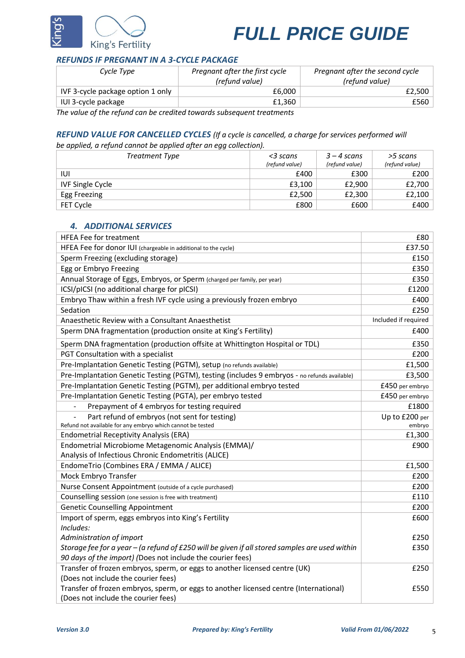

## *REFUNDS IF PREGNANT IN A 3-CYCLE PACKAGE*

| Cycle Type                                                            | Pregnant after the first cycle<br>(refund value) | Pregnant after the second cycle<br>(refund value) |  |
|-----------------------------------------------------------------------|--------------------------------------------------|---------------------------------------------------|--|
| IVF 3-cycle package option 1 only                                     | £6.000                                           | £2,500                                            |  |
| IUI 3-cycle package                                                   | £1.360                                           | £560                                              |  |
| The value of the refund can be credited towards subsequent treatments |                                                  |                                                   |  |

*The value of the refund can be credited towards subsequent treatments*

## *REFUND VALUE FOR CANCELLED CYCLES (If a cycle is cancelled, a charge for services performed will*

*be applied, a refund cannot be applied after an egg collection).* 

| Treatment Type          | <3 scans<br>(refund value) | $3 - 4$ scans<br>(refund value) | >5 scans<br>(refund value) |
|-------------------------|----------------------------|---------------------------------|----------------------------|
| וטו                     | £400                       | £300                            | £200                       |
| <b>IVF Single Cycle</b> | £3,100                     | £2,900                          | £2,700                     |
| Egg Freezing            | £2,500                     | £2,300                          | £2,100                     |
| <b>FET Cycle</b>        | £800                       | £600                            | £400                       |

## *4. ADDITIONAL SERVICES*

| <b>HFEA Fee for treatment</b>                                                                  | £80                  |
|------------------------------------------------------------------------------------------------|----------------------|
| HFEA Fee for donor IUI (chargeable in additional to the cycle)                                 | £37.50               |
| Sperm Freezing (excluding storage)                                                             | £150                 |
| Egg or Embryo Freezing                                                                         | £350                 |
| Annual Storage of Eggs, Embryos, or Sperm (charged per family, per year)                       | £350                 |
| ICSI/pICSI (no additional charge for pICSI)                                                    | £1200                |
| Embryo Thaw within a fresh IVF cycle using a previously frozen embryo                          | £400                 |
| Sedation                                                                                       | £250                 |
| Anaesthetic Review with a Consultant Anaesthetist                                              | Included if required |
| Sperm DNA fragmentation (production onsite at King's Fertility)                                | £400                 |
| Sperm DNA fragmentation (production offsite at Whittington Hospital or TDL)                    | £350                 |
| PGT Consultation with a specialist                                                             | £200                 |
| Pre-Implantation Genetic Testing (PGTM), setup (no refunds available)                          | £1,500               |
| Pre-Implantation Genetic Testing (PGTM), testing (includes 9 embryos - no refunds available)   | £3,500               |
| Pre-Implantation Genetic Testing (PGTM), per additional embryo tested                          | £450 per embryo      |
| Pre-Implantation Genetic Testing (PGTA), per embryo tested                                     | £450 per embryo      |
| Prepayment of 4 embryos for testing required                                                   | £1800                |
| Part refund of embryos (not sent for testing)                                                  | Up to £200 per       |
| Refund not available for any embryo which cannot be tested                                     | embryo               |
| <b>Endometrial Receptivity Analysis (ERA)</b>                                                  | £1,300               |
| Endometrial Microbiome Metagenomic Analysis (EMMA)/                                            | £900                 |
| Analysis of Infectious Chronic Endometritis (ALICE)                                            |                      |
| EndomeTrio (Combines ERA / EMMA / ALICE)                                                       | £1,500               |
| Mock Embryo Transfer                                                                           | £200                 |
| Nurse Consent Appointment (outside of a cycle purchased)                                       | £200                 |
| Counselling session (one session is free with treatment)                                       | £110                 |
| <b>Genetic Counselling Appointment</b>                                                         | £200                 |
| Import of sperm, eggs embryos into King's Fertility                                            | £600                 |
| Includes:                                                                                      |                      |
| Administration of import                                                                       | £250                 |
| Storage fee for a year - (a refund of £250 will be given if all stored samples are used within | £350                 |
| 90 days of the import) (Does not include the courier fees)                                     |                      |
| Transfer of frozen embryos, sperm, or eggs to another licensed centre (UK)                     | £250                 |
| (Does not include the courier fees)                                                            |                      |
| Transfer of frozen embryos, sperm, or eggs to another licensed centre (International)          | £550                 |
| (Does not include the courier fees)                                                            |                      |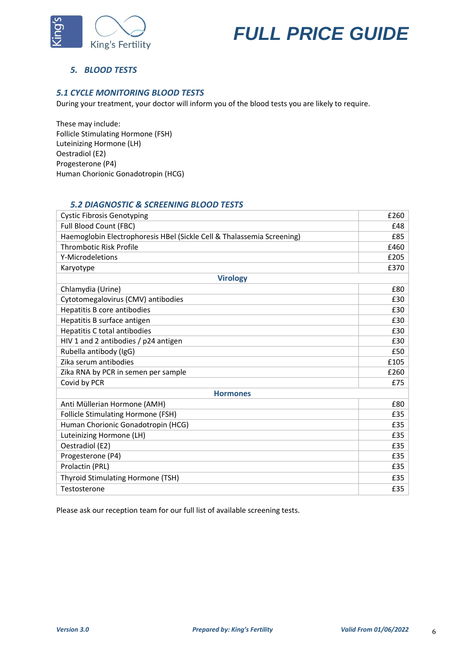



## *5. BLOOD TESTS*

## *5.1 CYCLE MONITORING BLOOD TESTS*

During your treatment, your doctor will inform you of the blood tests you are likely to require.

These may include: Follicle Stimulating Hormone (FSH) Luteinizing Hormone (LH) Oestradiol (E2) Progesterone (P4) Human Chorionic Gonadotropin (HCG)

## *5.2 DIAGNOSTIC & SCREENING BLOOD TESTS*

| <b>Cystic Fibrosis Genotyping</b>                                      |      |
|------------------------------------------------------------------------|------|
| Full Blood Count (FBC)                                                 |      |
| Haemoglobin Electrophoresis HBel (Sickle Cell & Thalassemia Screening) | £85  |
| <b>Thrombotic Risk Profile</b>                                         | £460 |
| Y-Microdeletions                                                       |      |
| Karyotype                                                              | £370 |
| <b>Virology</b>                                                        |      |
| Chlamydia (Urine)                                                      | £80  |
| Cytotomegalovirus (CMV) antibodies                                     | £30  |
| Hepatitis B core antibodies                                            | £30  |
| Hepatitis B surface antigen                                            |      |
| Hepatitis C total antibodies                                           |      |
| HIV 1 and 2 antibodies / p24 antigen                                   |      |
| Rubella antibody (IgG)                                                 |      |
| Zika serum antibodies                                                  |      |
| Zika RNA by PCR in semen per sample                                    |      |
| Covid by PCR                                                           |      |
| <b>Hormones</b>                                                        |      |
| Anti Müllerian Hormone (AMH)                                           | £80  |
| <b>Follicle Stimulating Hormone (FSH)</b>                              |      |
| Human Chorionic Gonadotropin (HCG)                                     |      |
| Luteinizing Hormone (LH)                                               |      |
| Oestradiol (E2)                                                        | £35  |
| Progesterone (P4)                                                      | £35  |
| Prolactin (PRL)                                                        |      |
| Thyroid Stimulating Hormone (TSH)                                      |      |
| Testosterone                                                           |      |

Please ask our reception team for our full list of available screening tests.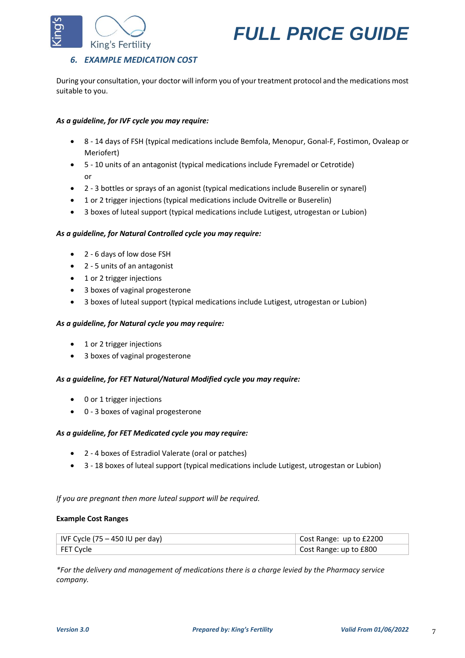



## *6. EXAMPLE MEDICATION COST*

During your consultation, your doctor will inform you of your treatment protocol and the medications most suitable to you.

### *As a guideline, for IVF cycle you may require:*

- 8 14 days of FSH (typical medications include Bemfola, Menopur, Gonal-F, Fostimon, Ovaleap or Meriofert)
- 5 10 units of an antagonist (typical medications include Fyremadel or Cetrotide) or
- 2 3 bottles or sprays of an agonist (typical medications include Buserelin or synarel)
- 1 or 2 trigger injections (typical medications include Ovitrelle or Buserelin)
- 3 boxes of luteal support (typical medications include Lutigest, utrogestan or Lubion)

#### *As a guideline, for Natural Controlled cycle you may require:*

- 2 6 days of low dose FSH
- 2 5 units of an antagonist
- 1 or 2 trigger injections
- 3 boxes of vaginal progesterone
- 3 boxes of luteal support (typical medications include Lutigest, utrogestan or Lubion)

#### *As a guideline, for Natural cycle you may require:*

- 1 or 2 trigger injections
- 3 boxes of vaginal progesterone

#### *As a guideline, for FET Natural/Natural Modified cycle you may require:*

- 0 or 1 trigger injections
- 0 3 boxes of vaginal progesterone

#### *As a guideline, for FET Medicated cycle you may require:*

- 2 4 boxes of Estradiol Valerate (oral or patches)
- 3 18 boxes of luteal support (typical medications include Lutigest, utrogestan or Lubion)

#### *If you are pregnant then more luteal support will be required.*

#### **Example Cost Ranges**

| $ $ IVF Cycle (75 – 450 IU per day) | Cost Range: up to £2200 |
|-------------------------------------|-------------------------|
| FET Cycle                           | Cost Range: up to £800  |

*\*For the delivery and management of medications there is a charge levied by the Pharmacy service company.*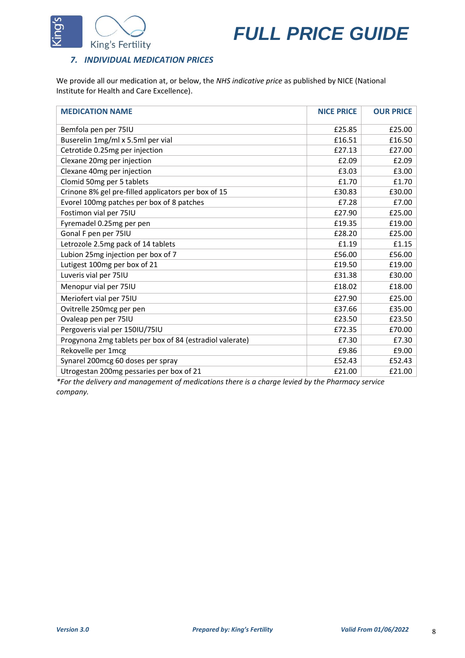



## *7. INDIVIDUAL MEDICATION PRICES*

We provide all our medication at, or below, the *NHS indicative price* as published by NICE (National Institute for Health and Care Excellence).

| <b>MEDICATION NAME</b>                                   | <b>NICE PRICE</b> | <b>OUR PRICE</b> |
|----------------------------------------------------------|-------------------|------------------|
| Bemfola pen per 75IU                                     | £25.85            | £25.00           |
| Buserelin 1mg/ml x 5.5ml per vial                        | £16.51            | £16.50           |
| Cetrotide 0.25mg per injection                           | £27.13            | £27.00           |
| Clexane 20mg per injection                               | £2.09             | £2.09            |
| Clexane 40mg per injection                               | £3.03             | £3.00            |
| Clomid 50mg per 5 tablets                                | £1.70             | £1.70            |
| Crinone 8% gel pre-filled applicators per box of 15      | £30.83            | £30.00           |
| Evorel 100mg patches per box of 8 patches                | £7.28             | £7.00            |
| Fostimon vial per 75IU                                   | £27.90            | £25.00           |
| Fyremadel 0.25mg per pen                                 | £19.35            | £19.00           |
| Gonal F pen per 75IU                                     | £28.20            | £25.00           |
| Letrozole 2.5mg pack of 14 tablets                       | £1.19             | £1.15            |
| Lubion 25mg injection per box of 7                       | £56.00            | £56.00           |
| Lutigest 100mg per box of 21                             | £19.50            | £19.00           |
| Luveris vial per 75IU                                    | £31.38            | £30.00           |
| Menopur vial per 75IU                                    | £18.02            | £18.00           |
| Meriofert vial per 75IU                                  | £27.90            | £25.00           |
| Ovitrelle 250mcg per pen                                 | £37.66            | £35.00           |
| Ovaleap pen per 75IU                                     | £23.50            | £23.50           |
| Pergoveris vial per 150IU/75IU                           | £72.35            | £70.00           |
| Progynona 2mg tablets per box of 84 (estradiol valerate) | £7.30             | £7.30            |
| Rekovelle per 1mcg                                       | £9.86             | £9.00            |
| Synarel 200mcg 60 doses per spray                        | £52.43            | £52.43           |
| Utrogestan 200mg pessaries per box of 21                 | £21.00            | £21.00           |

*\*For the delivery and management of medications there is a charge levied by the Pharmacy service company.*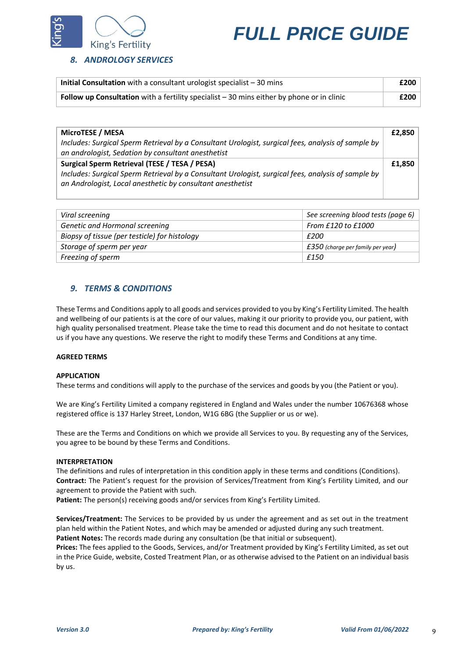

## *8. ANDROLOGY SERVICES*

| Initial Consultation with a consultant urologist specialist $-30$ mins                    |      |
|-------------------------------------------------------------------------------------------|------|
| Follow up Consultation with a fertility specialist - 30 mins either by phone or in clinic | £200 |

| £2,850 |
|--------|
|        |
|        |
| £1,850 |
|        |
|        |
|        |

| Viral screening                               | See screening blood tests (page 6)  |
|-----------------------------------------------|-------------------------------------|
| Genetic and Hormonal screening                | From £120 to £1000                  |
| Biopsy of tissue (per testicle) for histology | £200                                |
| Storage of sperm per year                     | $£350$ (charge per family per year) |
| Freezing of sperm                             | £150                                |

## *9. TERMS & CONDITIONS*

These Terms and Conditions apply to all goods and services provided to you by King's Fertility Limited. The health and wellbeing of our patients is at the core of our values, making it our priority to provide you, our patient, with high quality personalised treatment. Please take the time to read this document and do not hesitate to contact us if you have any questions. We reserve the right to modify these Terms and Conditions at any time.

#### **AGREED TERMS**

### **APPLICATION**

These terms and conditions will apply to the purchase of the services and goods by you (the Patient or you).

We are King's Fertility Limited a company registered in England and Wales under the number 10676368 whose registered office is 137 Harley Street, London, W1G 6BG (the Supplier or us or we).

These are the Terms and Conditions on which we provide all Services to you. By requesting any of the Services, you agree to be bound by these Terms and Conditions.

#### **INTERPRETATION**

The definitions and rules of interpretation in this condition apply in these terms and conditions (Conditions). **Contract:** The Patient's request for the provision of Services/Treatment from King's Fertility Limited, and our agreement to provide the Patient with such.

Patient: The person(s) receiving goods and/or services from King's Fertility Limited.

**Services/Treatment:** The Services to be provided by us under the agreement and as set out in the treatment plan held within the Patient Notes, and which may be amended or adjusted during any such treatment. **Patient Notes:** The records made during any consultation (be that initial or subsequent).

**Prices:** The fees applied to the Goods, Services, and/or Treatment provided by King's Fertility Limited, as set out in the Price Guide, website, Costed Treatment Plan, or as otherwise advised to the Patient on an individual basis by us.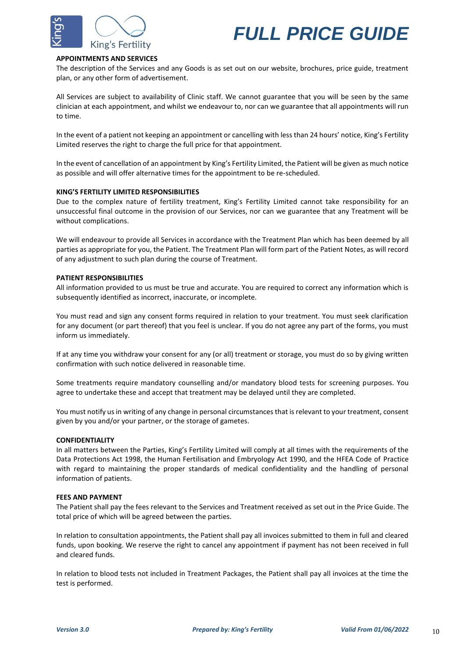



#### **APPOINTMENTS AND SERVICES**

The description of the Services and any Goods is as set out on our website, brochures, price guide, treatment plan, or any other form of advertisement.

All Services are subject to availability of Clinic staff. We cannot guarantee that you will be seen by the same clinician at each appointment, and whilst we endeavour to, nor can we guarantee that all appointments will run to time.

In the event of a patient not keeping an appointment or cancelling with less than 24 hours' notice, King's Fertility Limited reserves the right to charge the full price for that appointment.

In the event of cancellation of an appointment by King's Fertility Limited, the Patient will be given as much notice as possible and will offer alternative times for the appointment to be re-scheduled.

#### **KING'S FERTILITY LIMITED RESPONSIBILITIES**

Due to the complex nature of fertility treatment, King's Fertility Limited cannot take responsibility for an unsuccessful final outcome in the provision of our Services, nor can we guarantee that any Treatment will be without complications.

We will endeavour to provide all Services in accordance with the Treatment Plan which has been deemed by all parties as appropriate for you, the Patient. The Treatment Plan will form part of the Patient Notes, as will record of any adjustment to such plan during the course of Treatment.

#### **PATIENT RESPONSIBILITIES**

All information provided to us must be true and accurate. You are required to correct any information which is subsequently identified as incorrect, inaccurate, or incomplete.

You must read and sign any consent forms required in relation to your treatment. You must seek clarification for any document (or part thereof) that you feel is unclear. If you do not agree any part of the forms, you must inform us immediately.

If at any time you withdraw your consent for any (or all) treatment or storage, you must do so by giving written confirmation with such notice delivered in reasonable time.

Some treatments require mandatory counselling and/or mandatory blood tests for screening purposes. You agree to undertake these and accept that treatment may be delayed until they are completed.

You must notify us in writing of any change in personal circumstances that is relevant to your treatment, consent given by you and/or your partner, or the storage of gametes.

#### **CONFIDENTIALITY**

In all matters between the Parties, King's Fertility Limited will comply at all times with the requirements of the Data Protections Act 1998, the Human Fertilisation and Embryology Act 1990, and the HFEA Code of Practice with regard to maintaining the proper standards of medical confidentiality and the handling of personal information of patients.

#### **FEES AND PAYMENT**

The Patient shall pay the fees relevant to the Services and Treatment received as set out in the Price Guide. The total price of which will be agreed between the parties.

In relation to consultation appointments, the Patient shall pay all invoices submitted to them in full and cleared funds, upon booking. We reserve the right to cancel any appointment if payment has not been received in full and cleared funds.

In relation to blood tests not included in Treatment Packages, the Patient shall pay all invoices at the time the test is performed.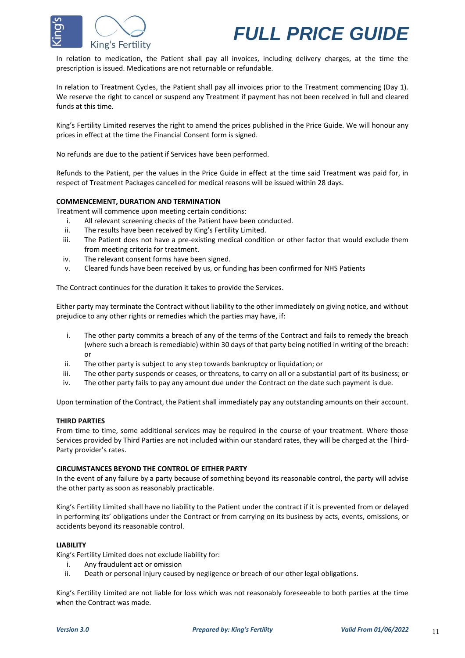



In relation to medication, the Patient shall pay all invoices, including delivery charges, at the time the prescription is issued. Medications are not returnable or refundable.

In relation to Treatment Cycles, the Patient shall pay all invoices prior to the Treatment commencing (Day 1). We reserve the right to cancel or suspend any Treatment if payment has not been received in full and cleared funds at this time.

King's Fertility Limited reserves the right to amend the prices published in the Price Guide. We will honour any prices in effect at the time the Financial Consent form is signed.

No refunds are due to the patient if Services have been performed.

Refunds to the Patient, per the values in the Price Guide in effect at the time said Treatment was paid for, in respect of Treatment Packages cancelled for medical reasons will be issued within 28 days.

#### **COMMENCEMENT, DURATION AND TERMINATION**

Treatment will commence upon meeting certain conditions:

- i. All relevant screening checks of the Patient have been conducted.
- ii. The results have been received by King's Fertility Limited.
- iii. The Patient does not have a pre-existing medical condition or other factor that would exclude them from meeting criteria for treatment.
- iv. The relevant consent forms have been signed.
- v. Cleared funds have been received by us, or funding has been confirmed for NHS Patients

The Contract continues for the duration it takes to provide the Services.

Either party may terminate the Contract without liability to the other immediately on giving notice, and without prejudice to any other rights or remedies which the parties may have, if:

- i. The other party commits a breach of any of the terms of the Contract and fails to remedy the breach (where such a breach is remediable) within 30 days of that party being notified in writing of the breach: or
- ii. The other party is subject to any step towards bankruptcy or liquidation; or
- iii. The other party suspends or ceases, or threatens, to carry on all or a substantial part of its business; or
- iv. The other party fails to pay any amount due under the Contract on the date such payment is due.

Upon termination of the Contract, the Patient shall immediately pay any outstanding amounts on their account.

#### **THIRD PARTIES**

From time to time, some additional services may be required in the course of your treatment. Where those Services provided by Third Parties are not included within our standard rates, they will be charged at the Third-Party provider's rates.

#### **CIRCUMSTANCES BEYOND THE CONTROL OF EITHER PARTY**

In the event of any failure by a party because of something beyond its reasonable control, the party will advise the other party as soon as reasonably practicable.

King's Fertility Limited shall have no liability to the Patient under the contract if it is prevented from or delayed in performing its' obligations under the Contract or from carrying on its business by acts, events, omissions, or accidents beyond its reasonable control.

#### **LIABILITY**

King's Fertility Limited does not exclude liability for:

- i. Any fraudulent act or omission
- ii. Death or personal injury caused by negligence or breach of our other legal obligations.

King's Fertility Limited are not liable for loss which was not reasonably foreseeable to both parties at the time when the Contract was made.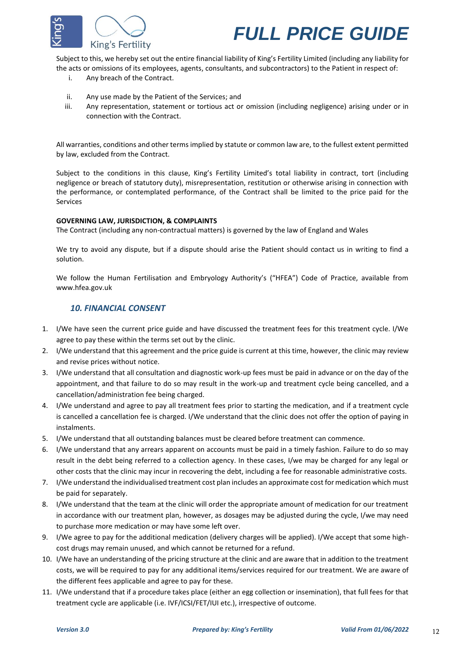

Subject to this, we hereby set out the entire financial liability of King's Fertility Limited (including any liability for the acts or omissions of its employees, agents, consultants, and subcontractors) to the Patient in respect of:

- i. Any breach of the Contract.
- ii. Any use made by the Patient of the Services; and
- iii. Any representation, statement or tortious act or omission (including negligence) arising under or in connection with the Contract.

All warranties, conditions and other terms implied by statute or common law are, to the fullest extent permitted by law, excluded from the Contract.

Subject to the conditions in this clause, King's Fertility Limited's total liability in contract, tort (including negligence or breach of statutory duty), misrepresentation, restitution or otherwise arising in connection with the performance, or contemplated performance, of the Contract shall be limited to the price paid for the Services

#### **GOVERNING LAW, JURISDICTION, & COMPLAINTS**

The Contract (including any non-contractual matters) is governed by the law of England and Wales

We try to avoid any dispute, but if a dispute should arise the Patient should contact us in writing to find a solution.

We follow the Human Fertilisation and Embryology Authority's ("HFEA") Code of Practice, available from www.hfea.gov.uk

#### *10. FINANCIAL CONSENT*

- 1. I/We have seen the current price guide and have discussed the treatment fees for this treatment cycle. I/We agree to pay these within the terms set out by the clinic.
- 2. I/We understand that this agreement and the price guide is current at this time, however, the clinic may review and revise prices without notice.
- 3. I/We understand that all consultation and diagnostic work-up fees must be paid in advance or on the day of the appointment, and that failure to do so may result in the work-up and treatment cycle being cancelled, and a cancellation/administration fee being charged.
- 4. I/We understand and agree to pay all treatment fees prior to starting the medication, and if a treatment cycle is cancelled a cancellation fee is charged. I/We understand that the clinic does not offer the option of paying in instalments.
- 5. I/We understand that all outstanding balances must be cleared before treatment can commence.
- 6. I/We understand that any arrears apparent on accounts must be paid in a timely fashion. Failure to do so may result in the debt being referred to a collection agency. In these cases, I/we may be charged for any legal or other costs that the clinic may incur in recovering the debt, including a fee for reasonable administrative costs.
- 7. I/We understand the individualised treatment cost plan includes an approximate cost for medication which must be paid for separately.
- 8. I/We understand that the team at the clinic will order the appropriate amount of medication for our treatment in accordance with our treatment plan, however, as dosages may be adjusted during the cycle, I/we may need to purchase more medication or may have some left over.
- 9. I/We agree to pay for the additional medication (delivery charges will be applied). I/We accept that some highcost drugs may remain unused, and which cannot be returned for a refund.
- 10. I/We have an understanding of the pricing structure at the clinic and are aware that in addition to the treatment costs, we will be required to pay for any additional items/services required for our treatment. We are aware of the different fees applicable and agree to pay for these.
- 11. I/We understand that if a procedure takes place (either an egg collection or insemination), that full fees for that treatment cycle are applicable (i.e. IVF/ICSI/FET/IUI etc.), irrespective of outcome.